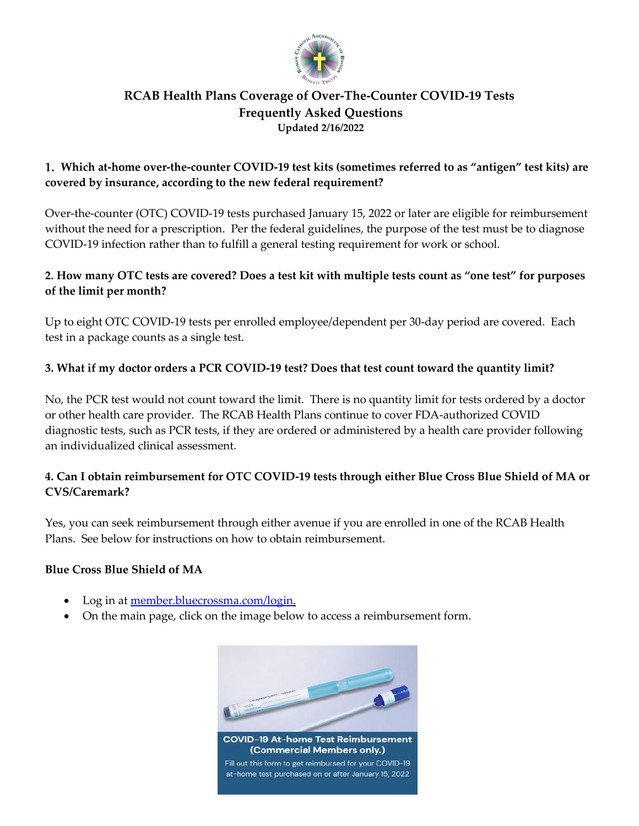

# **RCAB Health Plans Coverage of Over-The-Counter COVID-19 Tests Frequently Asked Questions Updated 2/16/2022**

### **Which at-home over-the-counter COVID-19 test kits (sometimes referred to as "antigen" test kits) are covered by insurance, according to the new federal requirement?**

Over-the-counter (OTC) COVID-19 tests purchased January 15, 2022 or later are eligible for reimbursement without the need for a prescription. Per the federal guidelines, the purpose of the test must be to diagnose COVID-19 infection rather than to fulfill a general testing requirement for work or school.

### **2. How many OTC tests are covered? Does a test kit with multiple tests count as "one test" for purposes of the limit per month?**

Up to eight OTC COVID-19 tests per enrolled employee/dependent per 30-day period are covered. Each test in a package counts as a single test.

# **3. What if my doctor orders a PCR COVID-19 test? Does that test count toward the quantity limit?**

No, the PCR test would not count toward the limit. There is no quantity limit for tests ordered by a doctor or other health care provider. The RCAB Health Plans continue to cover FDA-authorized COVID diagnostic tests, such as PCR tests, if they are ordered or administered by a health care provider following an individualized clinical assessment.

# **4. Can I obtain reimbursement for OTC COVID-19 tests through either Blue Cross Blue Shield of MA or CVS/Caremark?**

Yes, you can seek reimbursement through either avenue if you are enrolled in one of the RCAB Health Plans. See below for instructions on how to obtain reimbursement.

#### **Blue Cross Blue Shield of MA**

- Log in at <u>member.bluecrossma.com/login.</u>
- On the main page, click on the image below to access a reimbursement form.

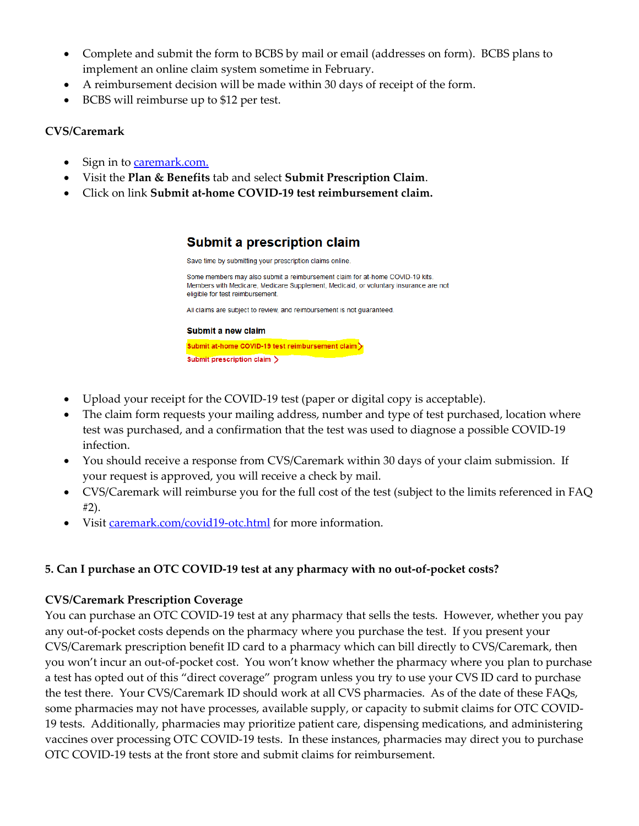- Complete and submit the form to BCBS by mail or email (addresses on form). BCBS plans to implement an online claim system sometime in February.
- A reimbursement decision will be made within 30 days of receipt of the form.
- BCBS will reimburse up to \$12 per test.

### **CVS/Caremark**

- Sign in to [caremark.com.](https://www.caremark.com/)
- Visit the **Plan & Benefits** tab and select **Submit Prescription Claim**.
- Click on link **Submit at-home COVID-19 test reimbursement claim.**

# Submit a prescription claim

Save time by submitting your prescription claims online.

Some members may also submit a reimbursement claim for at-home COVID-19 kits. Members with Medicare, Medicare Supplement, Medicaid, or voluntary insurance are not eligible for test reimbursement.

All claims are subject to review, and reimbursement is not guaranteed.

#### Submit a new claim Submit at-home COVID-19 test reimbursement claim Submit prescription claim >

- Upload your receipt for the COVID-19 test (paper or digital copy is acceptable).
- The claim form requests your mailing address, number and type of test purchased, location where test was purchased, and a confirmation that the test was used to diagnose a possible COVID-19 infection.
- You should receive a response from CVS/Caremark within 30 days of your claim submission. If your request is approved, you will receive a check by mail.
- CVS/Caremark will reimburse you for the full cost of the test (subject to the limits referenced in FAQ #2).
- Visit [caremark.com/covid19-otc.html](https://www.caremark.com/covid19-otc.html) for more information.

# **5. Can I purchase an OTC COVID-19 test at any pharmacy with no out-of-pocket costs?**

# **CVS/Caremark Prescription Coverage**

You can purchase an OTC COVID-19 test at any pharmacy that sells the tests. However, whether you pay any out-of-pocket costs depends on the pharmacy where you purchase the test. If you present your CVS/Caremark prescription benefit ID card to a pharmacy which can bill directly to CVS/Caremark, then you won't incur an out-of-pocket cost. You won't know whether the pharmacy where you plan to purchase a test has opted out of this "direct coverage" program unless you try to use your CVS ID card to purchase the test there. Your CVS/Caremark ID should work at all CVS pharmacies. As of the date of these FAQs, some pharmacies may not have processes, available supply, or capacity to submit claims for OTC COVID-19 tests. Additionally, pharmacies may prioritize patient care, dispensing medications, and administering vaccines over processing OTC COVID-19 tests. In these instances, pharmacies may direct you to purchase OTC COVID-19 tests at the front store and submit claims for reimbursement.